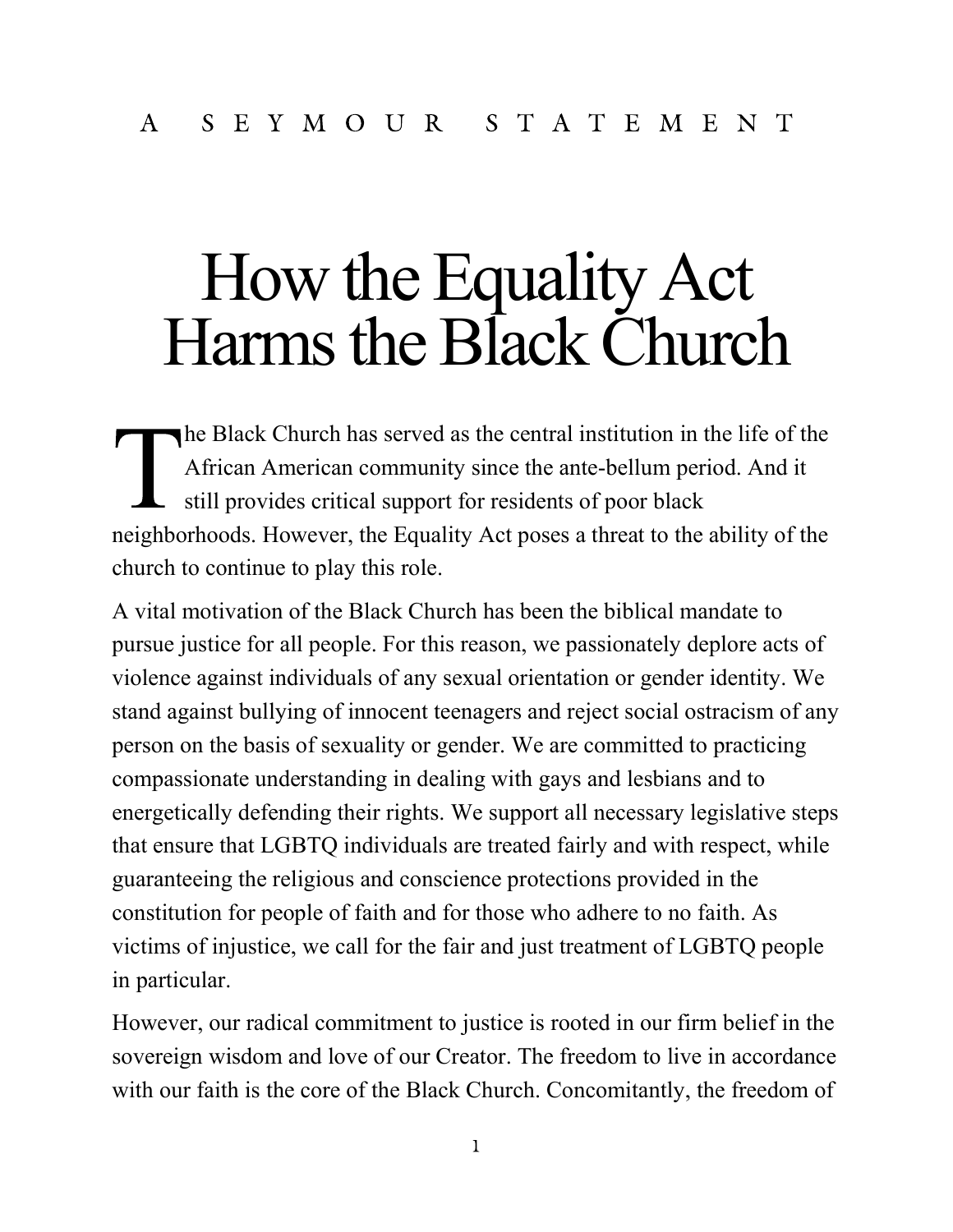## How the Equality Act Harms the Black Church

he Black Church has served as the central institution in the life of the African American community since the ante-bellum period. And it still provides critical support for residents of poor black neighborhoods. However, the Equality Act poses a threat to the ability of the church to continue to play this role.

A vital motivation of the Black Church has been the biblical mandate to pursue justice for all people. For this reason, we passionately deplore acts of violence against individuals of any sexual orientation or gender identity. We stand against bullying of innocent teenagers and reject social ostracism of any person on the basis of sexuality or gender. We are committed to practicing compassionate understanding in dealing with gays and lesbians and to energetically defending their rights. We support all necessary legislative steps that ensure that LGBTQ individuals are treated fairly and with respect, while guaranteeing the religious and conscience protections provided in the constitution for people of faith and for those who adhere to no faith. As victims of injustice, we call for the fair and just treatment of LGBTQ people in particular.

However, our radical commitment to justice is rooted in our firm belief in the sovereign wisdom and love of our Creator. The freedom to live in accordance with our faith is the core of the Black Church. Concomitantly, the freedom of

 $\mathbf{l}$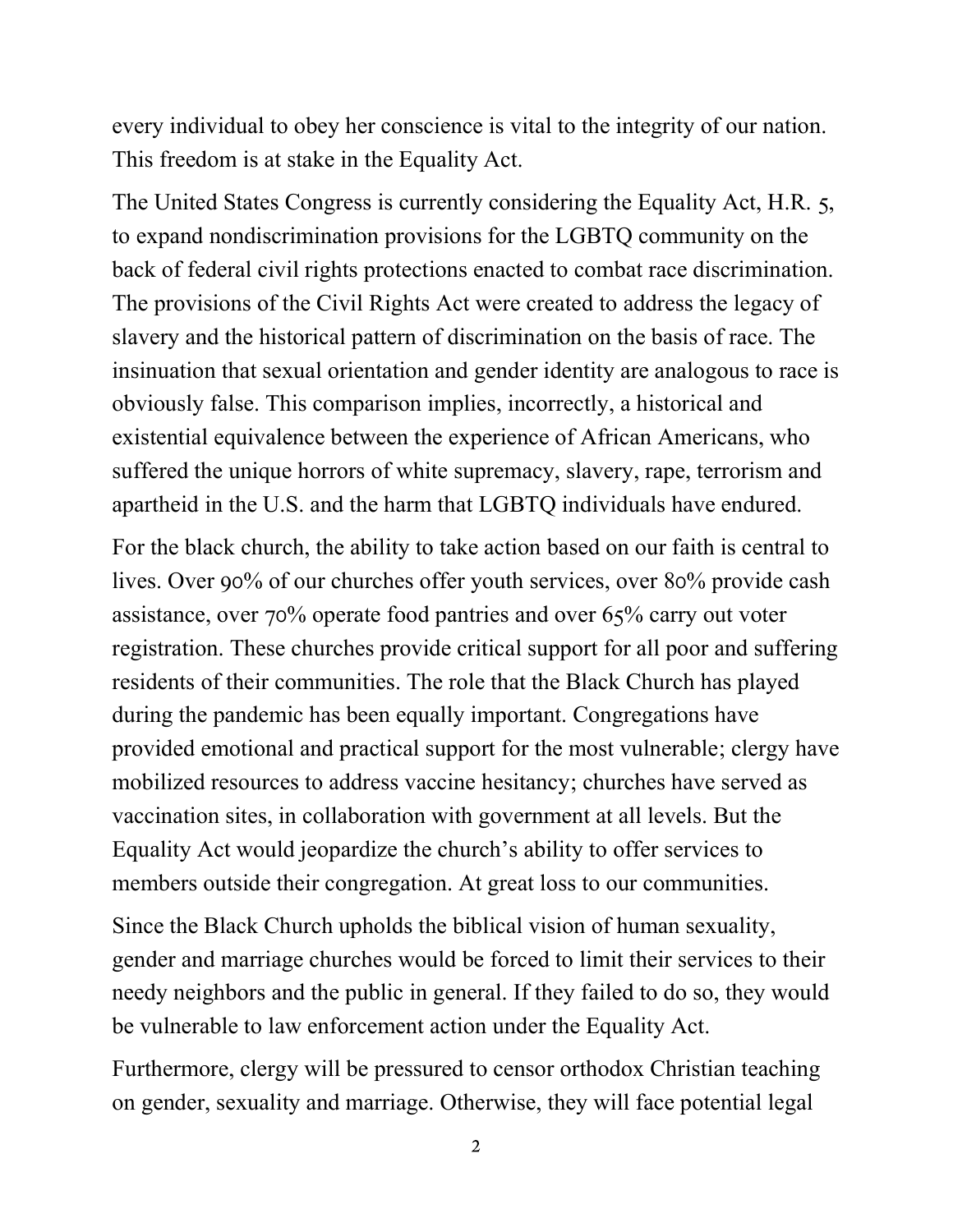every individual to obey her conscience is vital to the integrity of our nation. This freedom is at stake in the Equality Act.

The United States Congress is currently considering the Equality Act, H.R. 5, to expand nondiscrimination provisions for the LGBTQ community on the back of federal civil rights protections enacted to combat race discrimination. The provisions of the Civil Rights Act were created to address the legacy of slavery and the historical pattern of discrimination on the basis of race. The insinuation that sexual orientation and gender identity are analogous to race is obviously false. This comparison implies, incorrectly, a historical and existential equivalence between the experience of African Americans, who suffered the unique horrors of white supremacy, slavery, rape, terrorism and apartheid in the U.S. and the harm that LGBTQ individuals have endured.

For the black church, the ability to take action based on our faith is central to lives. Over 90% of our churches offer youth services, over 80% provide cash assistance, over  $70\%$  operate food pantries and over  $65\%$  carry out voter registration. These churches provide critical support for all poor and suffering residents of their communities. The role that the Black Church has played during the pandemic has been equally important. Congregations have provided emotional and practical support for the most vulnerable; clergy have mobilized resources to address vaccine hesitancy; churches have served as vaccination sites, in collaboration with government at all levels. But the Equality Act would jeopardize the church's ability to offer services to members outside their congregation. At great loss to our communities.

Since the Black Church upholds the biblical vision of human sexuality, gender and marriage churches would be forced to limit their services to their needy neighbors and the public in general. If they failed to do so, they would be vulnerable to law enforcement action under the Equality Act.

Furthermore, clergy will be pressured to censor orthodox Christian teaching on gender, sexuality and marriage. Otherwise, they will face potential legal